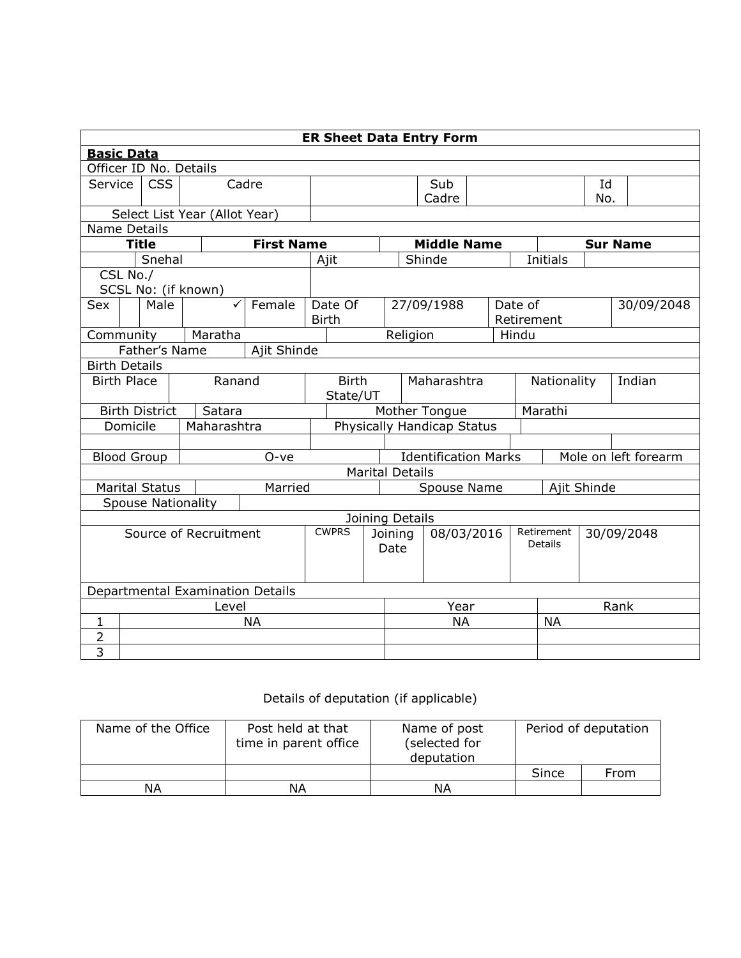| <b>ER Sheet Data Entry Form</b> |              |                       |                                  |                   |              |                                                     |                       |               |                    |                              |             |                 |            |  |
|---------------------------------|--------------|-----------------------|----------------------------------|-------------------|--------------|-----------------------------------------------------|-----------------------|---------------|--------------------|------------------------------|-------------|-----------------|------------|--|
| <b>Basic Data</b>               |              |                       |                                  |                   |              |                                                     |                       |               |                    |                              |             |                 |            |  |
| Officer ID No. Details          |              |                       |                                  |                   |              |                                                     |                       |               |                    |                              |             |                 |            |  |
| Service                         |              | <b>CSS</b>            |                                  | Cadre             |              |                                                     |                       |               | Sub                |                              |             | Id              |            |  |
|                                 |              |                       |                                  |                   |              |                                                     |                       |               | Cadre              |                              |             | No.             |            |  |
|                                 |              |                       | Select List Year (Allot Year)    |                   |              |                                                     |                       |               |                    |                              |             |                 |            |  |
| Name Details                    |              |                       |                                  |                   |              |                                                     |                       |               |                    |                              |             |                 |            |  |
|                                 | <b>Title</b> |                       |                                  | <b>First Name</b> |              |                                                     |                       |               | <b>Middle Name</b> |                              |             | <b>Sur Name</b> |            |  |
|                                 |              | Snehal                |                                  |                   |              | Ajit                                                |                       |               | Shinde             |                              | Initials    |                 |            |  |
| CSL No./                        |              |                       | SCSL No: (if known)              |                   |              |                                                     |                       |               |                    |                              |             |                 |            |  |
| Sex                             |              | Male                  | ✓                                | Female            |              | Date Of                                             |                       |               | 27/09/1988         | Date of                      |             |                 | 30/09/2048 |  |
|                                 |              |                       |                                  |                   |              | <b>Birth</b>                                        |                       |               |                    |                              | Retirement  |                 |            |  |
| Community                       |              |                       | Maratha                          |                   |              |                                                     |                       | Religion      |                    | Hindu                        |             |                 |            |  |
| Father's Name<br>Ajit Shinde    |              |                       |                                  |                   |              |                                                     |                       |               |                    |                              |             |                 |            |  |
| <b>Birth Details</b>            |              |                       |                                  |                   |              |                                                     |                       |               |                    |                              |             |                 |            |  |
| <b>Birth Place</b>              |              |                       | Ranand                           |                   | <b>Birth</b> |                                                     |                       | Maharashtra   |                    |                              | Nationality |                 | Indian     |  |
|                                 |              |                       |                                  |                   |              | State/UT                                            |                       |               |                    |                              |             |                 |            |  |
|                                 |              | <b>Birth District</b> | Satara                           |                   |              |                                                     |                       | Mother Tongue |                    |                              | Marathi     |                 |            |  |
| Domicile                        |              |                       | Maharashtra                      |                   |              | <b>Physically Handicap Status</b>                   |                       |               |                    |                              |             |                 |            |  |
|                                 |              |                       |                                  |                   |              |                                                     |                       |               |                    |                              |             |                 |            |  |
| <b>Blood Group</b>              |              |                       |                                  | O-ve              |              | <b>Identification Marks</b><br>Mole on left forearm |                       |               |                    |                              |             |                 |            |  |
|                                 |              |                       |                                  |                   |              | <b>Marital Details</b>                              |                       |               |                    |                              |             |                 |            |  |
|                                 |              | <b>Marital Status</b> |                                  | Married           | Spouse Name  |                                                     |                       |               |                    | Ajit Shinde                  |             |                 |            |  |
|                                 |              |                       | <b>Spouse Nationality</b>        |                   |              |                                                     |                       |               |                    |                              |             |                 |            |  |
|                                 |              |                       |                                  |                   |              | Joining Details                                     |                       |               |                    |                              |             |                 |            |  |
| Source of Recruitment           |              |                       |                                  | <b>CWPRS</b>      |              | Date                                                | 08/03/2016<br>Joining |               |                    | Retirement<br><b>Details</b> |             | 30/09/2048      |            |  |
|                                 |              |                       |                                  |                   |              |                                                     |                       |               |                    |                              |             |                 |            |  |
|                                 |              |                       | Departmental Examination Details |                   |              |                                                     |                       |               |                    |                              |             |                 |            |  |
| Level                           |              |                       |                                  |                   |              |                                                     |                       | Year          |                    |                              | Rank        |                 |            |  |
| $\mathbf{1}$                    |              |                       |                                  | <b>NA</b>         |              |                                                     |                       |               | <b>NA</b>          |                              | <b>NA</b>   |                 |            |  |
| $\overline{2}$                  |              |                       |                                  |                   |              |                                                     |                       |               |                    |                              |             |                 |            |  |
| $\overline{3}$                  |              |                       |                                  |                   |              |                                                     |                       |               |                    |                              |             |                 |            |  |

## Details of deputation (if applicable)

| Name of the Office | Post held at that<br>time in parent office | Name of post<br>(selected for<br>deputation | Period of deputation |      |  |
|--------------------|--------------------------------------------|---------------------------------------------|----------------------|------|--|
|                    |                                            |                                             | Since                | From |  |
| ΝA                 | ΝA                                         | ΝA                                          |                      |      |  |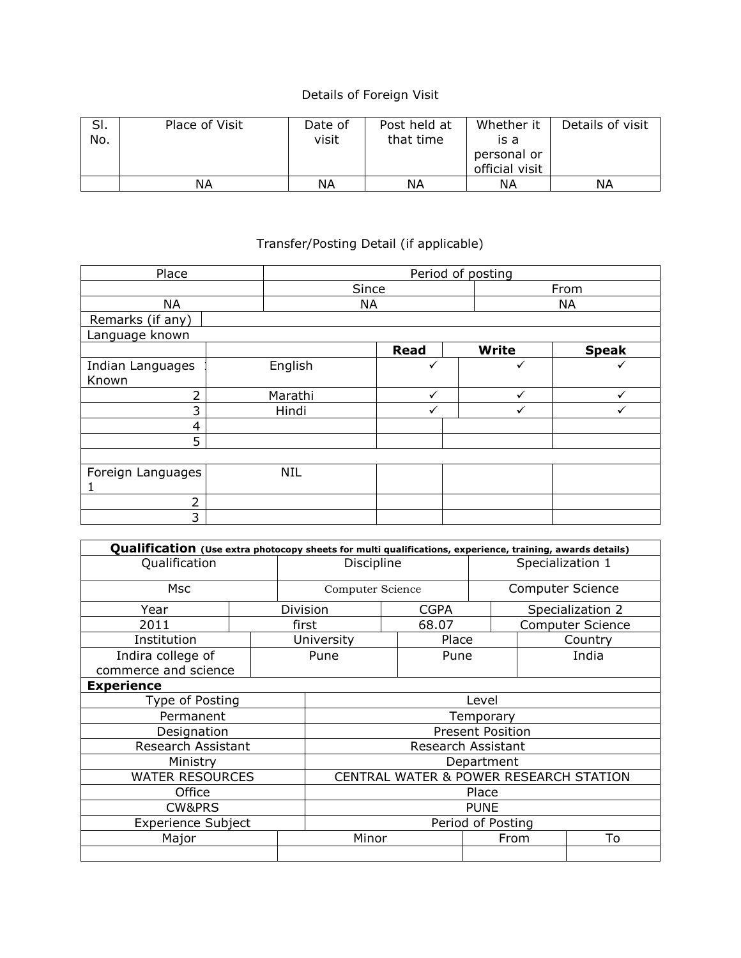## Details of Foreign Visit

| SI.<br>No. | Place of Visit | Date of<br>visit | Post held at<br>that time | Whether it<br>is a<br>personal or<br>official visit | Details of visit |
|------------|----------------|------------------|---------------------------|-----------------------------------------------------|------------------|
|            | ΝA             | ΝA               | ΝA                        | ΝA                                                  | ΝA               |

## Transfer/Posting Detail (if applicable)

| Place             |  | Period of posting |  |             |  |              |              |  |  |
|-------------------|--|-------------------|--|-------------|--|--------------|--------------|--|--|
|                   |  | Since             |  | From        |  |              |              |  |  |
| <b>NA</b>         |  | <b>NA</b>         |  |             |  | <b>NA</b>    |              |  |  |
| Remarks (if any)  |  |                   |  |             |  |              |              |  |  |
| Language known    |  |                   |  |             |  |              |              |  |  |
|                   |  |                   |  | <b>Read</b> |  | <b>Write</b> | <b>Speak</b> |  |  |
| Indian Languages  |  | English           |  | ✓           |  | ✓            | ✓            |  |  |
| Known             |  |                   |  |             |  |              |              |  |  |
| $\overline{2}$    |  | Marathi           |  | ✓           |  | $\checkmark$ | $\checkmark$ |  |  |
| 3                 |  | Hindi             |  |             |  |              |              |  |  |
| 4                 |  |                   |  |             |  |              |              |  |  |
| 5                 |  |                   |  |             |  |              |              |  |  |
|                   |  |                   |  |             |  |              |              |  |  |
| Foreign Languages |  | <b>NIL</b>        |  |             |  |              |              |  |  |
|                   |  |                   |  |             |  |              |              |  |  |
| 2                 |  |                   |  |             |  |              |              |  |  |
| 3                 |  |                   |  |             |  |              |              |  |  |

| Qualification (Use extra photocopy sheets for multi qualifications, experience, training, awards details) |                   |                  |                                        |  |                         |                  |    |                  |  |  |
|-----------------------------------------------------------------------------------------------------------|-------------------|------------------|----------------------------------------|--|-------------------------|------------------|----|------------------|--|--|
| Qualification                                                                                             |                   | Discipline       |                                        |  |                         | Specialization 1 |    |                  |  |  |
| <b>Msc</b>                                                                                                |                   | Computer Science |                                        |  | <b>Computer Science</b> |                  |    |                  |  |  |
| Year                                                                                                      |                   | Division         |                                        |  | <b>CGPA</b>             |                  |    | Specialization 2 |  |  |
| 2011                                                                                                      |                   | first            |                                        |  | 68.07                   |                  |    | Computer Science |  |  |
| Institution                                                                                               |                   |                  | University                             |  | Place                   |                  |    | Country          |  |  |
| Indira college of                                                                                         |                   |                  | Pune                                   |  | Pune                    |                  |    | India            |  |  |
| commerce and science                                                                                      |                   |                  |                                        |  |                         |                  |    |                  |  |  |
| <b>Experience</b>                                                                                         |                   |                  |                                        |  |                         |                  |    |                  |  |  |
| Type of Posting                                                                                           |                   |                  | Level                                  |  |                         |                  |    |                  |  |  |
| Permanent                                                                                                 |                   |                  | Temporary                              |  |                         |                  |    |                  |  |  |
| Designation                                                                                               |                   |                  | <b>Present Position</b>                |  |                         |                  |    |                  |  |  |
| Research Assistant                                                                                        |                   |                  | Research Assistant                     |  |                         |                  |    |                  |  |  |
| Ministry                                                                                                  |                   |                  | Department                             |  |                         |                  |    |                  |  |  |
| <b>WATER RESOURCES</b>                                                                                    |                   |                  | CENTRAL WATER & POWER RESEARCH STATION |  |                         |                  |    |                  |  |  |
| Office                                                                                                    |                   | Place            |                                        |  |                         |                  |    |                  |  |  |
| CW&PRS                                                                                                    | <b>PUNE</b>       |                  |                                        |  |                         |                  |    |                  |  |  |
| <b>Experience Subject</b>                                                                                 | Period of Posting |                  |                                        |  |                         |                  |    |                  |  |  |
| Major                                                                                                     |                   | Minor            |                                        |  | From                    |                  | To |                  |  |  |
|                                                                                                           |                   |                  |                                        |  |                         |                  |    |                  |  |  |